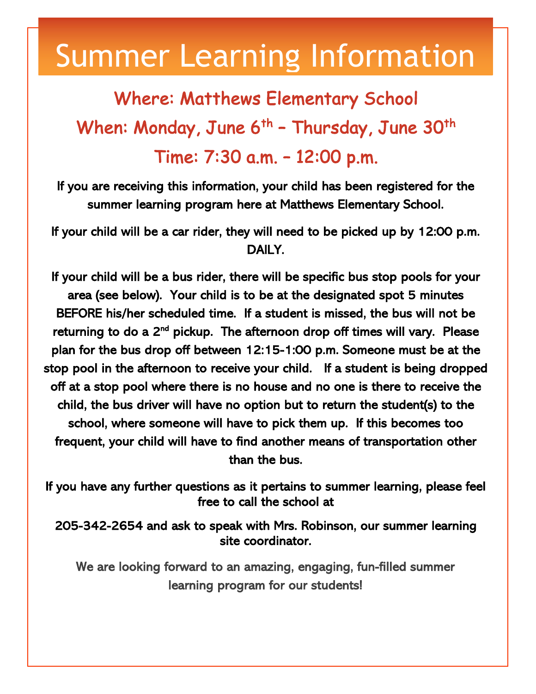## Summer Learning Information

## Where: Matthews Elementary School When: Monday, June  $6^{th}$  - Thursday, June 30<sup>th</sup> Time: 7:30 a.m. – 12:00 p.m.

If you are receiving this information, your child has been registered for the summer learning program here at Matthews Elementary School.

If your child will be a car rider, they will need to be picked up by 12:00 p.m. DAILY.

If your child will be a bus rider, there will be specific bus stop pools for your area (see below). Your child is to be at the designated spot 5 minutes BEFORE his/her scheduled time. If a student is missed, the bus will not be returning to do a 2<sup>nd</sup> pickup. The afternoon drop off times will vary. Please plan for the bus drop off between 12:15-1:00 p.m. Someone must be at the stop pool in the afternoon to receive your child. If a student is being dropped off at a stop pool where there is no house and no one is there to receive the child, the bus driver will have no option but to return the student(s) to the school, where someone will have to pick them up. If this becomes too frequent, your child will have to find another means of transportation other than the bus.

If you have any further questions as it pertains to summer learning, please feel free to call the school at

205-342-2654 and ask to speak with Mrs. Robinson, our summer learning site coordinator.

We are looking forward to an amazing, engaging, fun-filled summer learning program for our students!